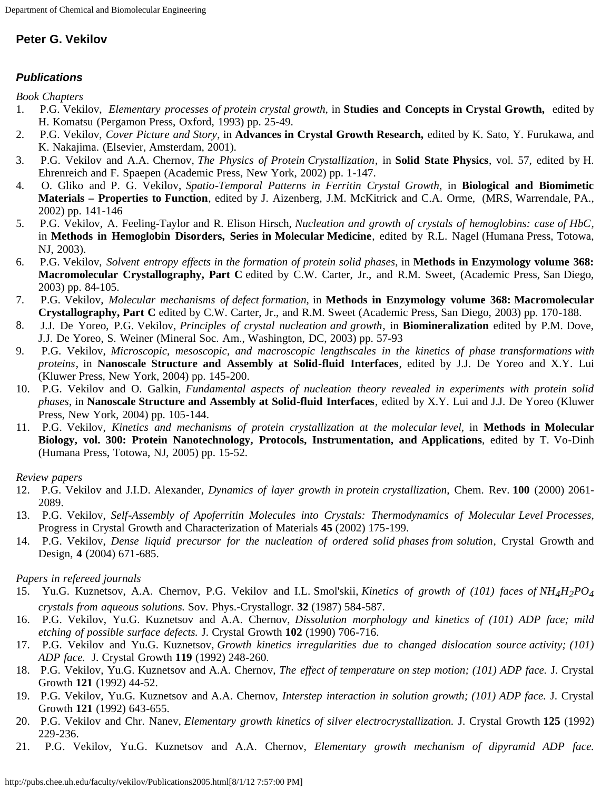## **Peter G. Vekilov**

## *Publications*

*Book Chapters*

- 1. P.G. Vekilov, *Elementary processes of protein crystal growth,* in **Studies and Concepts in Crystal Growth,** edited by H. Komatsu (Pergamon Press, Oxford, 1993) pp. 25-49.
- 2. P.G. Vekilov, *Cover Picture and Story*, in **Advances in Crystal Growth Research,** edited by K. Sato, Y. Furukawa, and K. Nakajima. (Elsevier, Amsterdam, 2001).
- 3. P.G. Vekilov and A.A. Chernov, *The Physics of Protein Crystallization*, in **Solid State Physics**, vol. 57, edited by H. Ehrenreich and F. Spaepen (Academic Press, New York, 2002) pp. 1-147.
- 4. O. Gliko and P. G. Vekilov, *Spatio-Temporal Patterns in Ferritin Crystal Growth,* in **Biological and Biomimetic Materials – Properties to Function**, edited by J. Aizenberg, J.M. McKitrick and C.A. Orme, (MRS, Warrendale, PA., 2002) pp. 141-146
- 5. P.G. Vekilov, A. Feeling-Taylor and R. Elison Hirsch, *Nucleation and growth of crystals of hemoglobins: case of HbC*, in **Methods in Hemoglobin Disorders, Series in Molecular Medicine**, edited by R.L. Nagel (Humana Press, Totowa, NJ, 2003).
- 6. P.G. Vekilov, *Solvent entropy effects in the formation of protein solid phases*, in **Methods in Enzymology volume 368: Macromolecular Crystallography, Part C** edited by C.W. Carter, Jr., and R.M. Sweet, (Academic Press, San Diego, 2003) pp. 84-105.
- 7. P.G. Vekilov, *Molecular mechanisms of defect formation,* in **Methods in Enzymology volume 368: Macromolecular Crystallography, Part C** edited by C.W. Carter, Jr., and R.M. Sweet (Academic Press, San Diego, 2003) pp. 170-188.
- 8. J.J. De Yoreo, P.G. Vekilov, *Principles of crystal nucleation and growth*, in **Biomineralization** edited by P.M. Dove, J.J. De Yoreo, S. Weiner (Mineral Soc. Am., Washington, DC, 2003) pp. 57-93
- 9. P.G. Vekilov, *Microscopic, mesoscopic, and macroscopic lengthscales in the kinetics of phase transformations with proteins*, in **Nanoscale Structure and Assembly at Solid-fluid Interfaces**, edited by J.J. De Yoreo and X.Y. Lui (Kluwer Press, New York, 2004) pp. 145-200.
- 10. P.G. Vekilov and O. Galkin, *Fundamental aspects of nucleation theory revealed in experiments with protein solid phases*, in **Nanoscale Structure and Assembly at Solid-fluid Interfaces**, edited by X.Y. Lui and J.J. De Yoreo (Kluwer Press, New York, 2004) pp. 105-144.
- 11. P.G. Vekilov, *Kinetics and mechanisms of protein crystallization at the molecular level,* in **Methods in Molecular Biology, vol. 300: Protein Nanotechnology, Protocols, Instrumentation, and Applications**, edited by T. Vo-Dinh (Humana Press, Totowa, NJ, 2005) pp. 15-52.

## *Review papers*

- 12. P.G. Vekilov and J.I.D. Alexander, *Dynamics of layer growth in protein crystallization*, Chem. Rev. **100** (2000) 2061- 2089.
- 13. P.G. Vekilov, *Self-Assembly of Apoferritin Molecules into Crystals: Thermodynamics of Molecular Level Processes*, Progress in Crystal Growth and Characterization of Materials **45** (2002) 175-199.
- 14. P.G. Vekilov, *Dense liquid precursor for the nucleation of ordered solid phases from solution*, Crystal Growth and Design, **4** (2004) 671-685.

## *Papers in refereed journals*

- 15. Yu.G. Kuznetsov, A.A. Chernov, P.G. Vekilov and I.L. Smol'skii, *Kinetics of growth of (101) faces of NH4H2PO4 crystals from aqueous solutions.* Sov. Phys.-Crystallogr. **32** (1987) 584-587.
- 16. P.G. Vekilov, Yu.G. Kuznetsov and A.A. Chernov, *Dissolution morphology and kinetics of (101) ADP face; mild etching of possible surface defects.* J. Crystal Growth **102** (1990) 706-716.
- 17. P.G. Vekilov and Yu.G. Kuznetsov, *Growth kinetics irregularities due to changed dislocation source activity; (101) ADP face.* J. Crystal Growth **119** (1992) 248-260.
- 18. P.G. Vekilov, Yu.G. Kuznetsov and A.A. Chernov, *The effect of temperature on step motion; (101) ADP face.* J. Crystal Growth **121** (1992) 44-52.
- 19. P.G. Vekilov, Yu.G. Kuznetsov and A.A. Chernov, *Interstep interaction in solution growth; (101) ADP face.* J. Crystal Growth **121** (1992) 643-655.
- 20. P.G. Vekilov and Chr. Nanev, *Elementary growth kinetics of silver electrocrystallization.* J. Crystal Growth **125** (1992) 229-236.
- 21. P.G. Vekilov, Yu.G. Kuznetsov and A.A. Chernov, *Elementary growth mechanism of dipyramid ADP face.*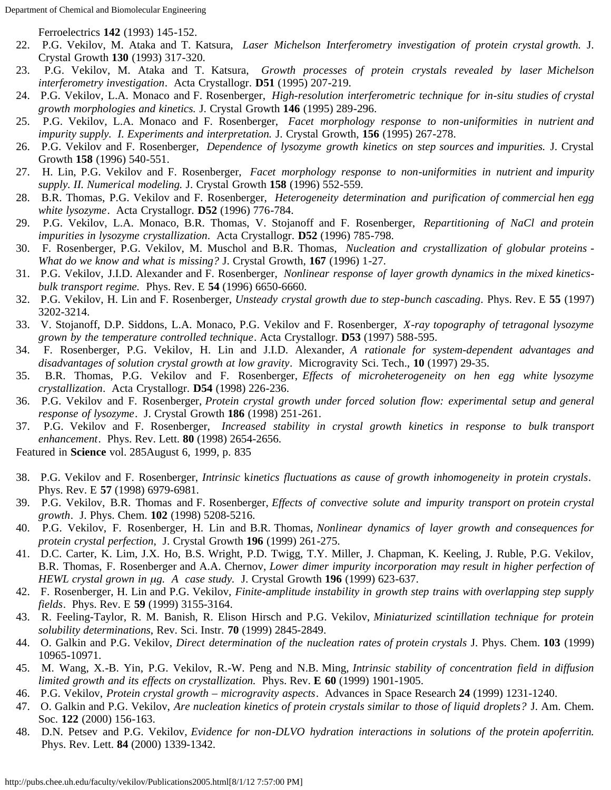Ferroelectrics **142** (1993) 145-152.

- 22. P.G. Vekilov, M. Ataka and T. Katsura, *Laser Michelson Interferometry investigation of protein crystal growth.* J. Crystal Growth **130** (1993) 317-320.
- 23. P.G. Vekilov, M. Ataka and T. Katsura, *Growth processes of protein crystals revealed by laser Michelson interferometry investigation*. Acta Crystallogr. **D51** (1995) 207-219.
- 24. P.G. Vekilov, L.A. Monaco and F. Rosenberger, *High-resolution interferometric technique for in-situ studies of crystal growth morphologies and kinetics.* J. Crystal Growth **146** (1995) 289-296.
- 25. P.G. Vekilov, L.A. Monaco and F. Rosenberger, *Facet morphology response to non-uniformities in nutrient and impurity supply. I. Experiments and interpretation.* J. Crystal Growth, **156** (1995) 267-278.
- 26. P.G. Vekilov and F. Rosenberger, *Dependence of lysozyme growth kinetics on step sources and impurities.* J. Crystal Growth **158** (1996) 540-551.
- 27. H. Lin, P.G. Vekilov and F. Rosenberger, *Facet morphology response to non-uniformities in nutrient and impurity supply. II. Numerical modeling.* J. Crystal Growth **158** (1996) 552-559.
- 28. B.R. Thomas, P.G. Vekilov and F. Rosenberger, *Heterogeneity determination and purification of commercial hen egg white lysozyme*. Acta Crystallogr. **D52** (1996) 776-784.
- 29. P.G. Vekilov, L.A. Monaco, B.R. Thomas, V. Stojanoff and F. Rosenberger, *Repartitioning of NaCl and protein impurities in lysozyme crystallization*. Acta Crystallogr. **D52** (1996) 785-798.
- 30. F. Rosenberger, P.G. Vekilov, M. Muschol and B.R. Thomas, *Nucleation and crystallization of globular proteins - What do we know and what is missing?* J. Crystal Growth, **167** (1996) 1-27.
- 31. P.G. Vekilov, J.I.D. Alexander and F. Rosenberger, *Nonlinear response of layer growth dynamics in the mixed kineticsbulk transport regime.* Phys. Rev. E **54** (1996) 6650-6660.
- 32. P.G. Vekilov, H. Lin and F. Rosenberger, *Unsteady crystal growth due to step-bunch cascading*. Phys. Rev. E **55** (1997) 3202-3214.
- 33. V. Stojanoff, D.P. Siddons, L.A. Monaco, P.G. Vekilov and F. Rosenberger, *X-ray topography of tetragonal lysozyme grown by the temperature controlled technique*. Acta Crystallogr. **D53** (1997) 588-595.
- 34. F. Rosenberger, P.G. Vekilov, H. Lin and J.I.D. Alexander, *A rationale for system-dependent advantages and disadvantages of solution crystal growth at low gravity*. Microgravity Sci. Tech., **10** (1997) 29-35.
- 35. B.R. Thomas, P.G. Vekilov and F. Rosenberger, *Effects of microheterogeneity on hen egg white lysozyme crystallization*. Acta Crystallogr. **D54** (1998) 226-236.
- 36. P.G. Vekilov and F. Rosenberger, *Protein crystal growth under forced solution flow: experimental setup and general response of lysozyme*. J. Crystal Growth **186** (1998) 251-261.
- 37. P.G. Vekilov and F. Rosenberger, *Increased stability in crystal growth kinetics in response to bulk transport enhancement*. Phys. Rev. Lett. **80** (1998) 2654-2656.

Featured in **Science** vol. 285August 6, 1999, p. 835

- 38. P.G. Vekilov and F. Rosenberger, *Intrinsic* k*inetics fluctuations as cause of growth inhomogeneity in protein crystals*. Phys. Rev. E **57** (1998) 6979-6981.
- 39. P.G. Vekilov, B.R. Thomas and F. Rosenberger, *Effects of convective solute and impurity transport on protein crystal growth*. J. Phys. Chem. **102** (1998) 5208-5216.
- 40. P.G. Vekilov, F. Rosenberger, H. Lin and B.R. Thomas, *Nonlinear dynamics of layer growth and consequences for protein crystal perfection*, J. Crystal Growth **196** (1999) 261-275.
- 41. D.C. Carter, K. Lim, J.X. Ho, B.S. Wright, P.D. Twigg, T.Y. Miller, J. Chapman, K. Keeling, J. Ruble, P.G. Vekilov, B.R. Thomas, F. Rosenberger and A.A. Chernov, *Lower dimer impurity incorporation may result in higher perfection of HEWL crystal grown in µg. A case study.* J. Crystal Growth **196** (1999) 623-637.
- 42. F. Rosenberger, H. Lin and P.G. Vekilov, *Finite-amplitude instability in growth step trains with overlapping step supply fields*. Phys. Rev. E **59** (1999) 3155-3164.
- 43. R. Feeling-Taylor, R. M. Banish, R. Elison Hirsch and P.G. Vekilov, *Miniaturized scintillation technique for protein solubility determinations*, Rev. Sci. Instr. **70** (1999) 2845-2849.
- 44. O. Galkin and P.G. Vekilov, *Direct determination of the nucleation rates of protein crystals* J. Phys. Chem. **103** (1999) 10965-10971.
- 45. M. Wang, X.-B. Yin, P.G. Vekilov, R.-W. Peng and N.B. Ming, *Intrinsic stability of concentration field in diffusion limited growth and its effects on crystallization.* Phys. Rev. **E 60** (1999) 1901-1905.
- 46. P.G. Vekilov, *Protein crystal growth microgravity aspects*. Advances in Space Research **24** (1999) 1231-1240.
- 47. O. Galkin and P.G. Vekilov, *Are nucleation kinetics of protein crystals similar to those of liquid droplets?* J. Am. Chem. Soc. **122** (2000) 156-163.
- 48. D.N. Petsev and P.G. Vekilov, *Evidence for non-DLVO hydration interactions in solutions of the protein apoferritin.* Phys. Rev. Lett. **84** (2000) 1339-1342.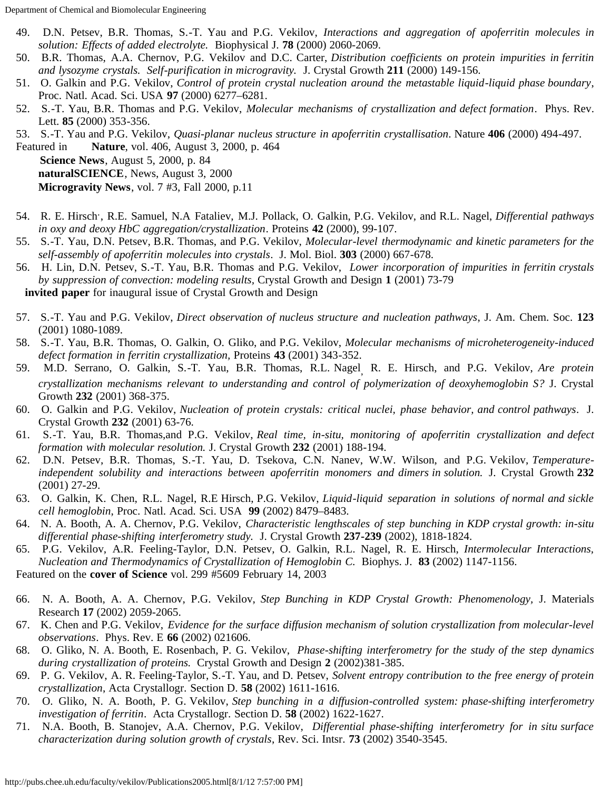Department of Chemical and Biomolecular Engineering

- 49. D.N. Petsev, B.R. Thomas, S.-T. Yau and P.G. Vekilov, *Interactions and aggregation of apoferritin molecules in solution: Effects of added electrolyte.* Biophysical J. **78** (2000) 2060-2069.
- 50. B.R. Thomas, A.A. Chernov, P.G. Vekilov and D.C. Carter, *Distribution coefficients on protein impurities in ferritin and lysozyme crystals. Self-purification in microgravity.* J. Crystal Growth **211** (2000) 149-156.
- 51. O. Galkin and P.G. Vekilov, *Control of protein crystal nucleation around the metastable liquid-liquid phase boundary*, Proc. Natl. Acad. Sci. USA **97** (2000) 6277–6281.
- 52. S.-T. Yau, B.R. Thomas and P.G. Vekilov, *Molecular mechanisms of crystallization and defect formation*. Phys. Rev. Lett. **85** (2000) 353-356.
- 53. S.-T. Yau and P.G. Vekilov, *Quasi-planar nucleus structure in apoferritin crystallisation*. Nature **406** (2000) 494-497.

Featured in **Nature**, vol. 406, August 3, 2000, p. 464 **Science News**, August 5, 2000, p. 84 **naturalSCIENCE**, News, August 3, 2000 **Microgravity News**, vol. 7 #3, Fall 2000, p.11

- 54. R. E. Hirsch<sup>.</sup>, R.E. Samuel, N.A Fataliev, M.J. Pollack, O. Galkin, P.G. Vekilov, and R.L. Nagel, *Differential pathways in oxy and deoxy HbC aggregation/crystallization*. Proteins **42** (2000), 99-107.
- 55. S.-T. Yau, D.N. Petsev, B.R. Thomas, and P.G. Vekilov, *Molecular-level thermodynamic and kinetic parameters for the self-assembly of apoferritin molecules into crystals*. J. Mol. Biol. **303** (2000) 667-678.
- 56. H. Lin, D.N. Petsev, S.-T. Yau, B.R. Thomas and P.G. Vekilov, *Lower incorporation of impurities in ferritin crystals by suppression of convection: modeling results,* Crystal Growth and Design **1** (2001) 73-79

 **invited paper** for inaugural issue of Crystal Growth and Design

- 57. S.-T. Yau and P.G. Vekilov, *Direct observation of nucleus structure and nucleation pathways*, J. Am. Chem. Soc. **123** (2001) 1080-1089.
- 58. S.-T. Yau, B.R. Thomas, O. Galkin, O. Gliko, and P.G. Vekilov, *Molecular mechanisms of microheterogeneity-induced defect formation in ferritin crystallization,* Proteins **43** (2001) 343-352.
- 59. M.D. Serrano, O. Galkin, S.-T. Yau, B.R. Thomas, R.L. Nagel, R. E. Hirsch, and P.G. Vekilov, *Are protein crystallization mechanisms relevant to understanding and control of polymerization of deoxyhemoglobin S?* J. Crystal Growth **232** (2001) 368-375.
- 60. O. Galkin and P.G. Vekilov, *Nucleation of protein crystals: critical nuclei, phase behavior, and control pathways*. J. Crystal Growth **232** (2001) 63-76.
- 61. S.-T. Yau, B.R. Thomas,and P.G. Vekilov, *Real time, in-situ, monitoring of apoferritin crystallization and defect formation with molecular resolution.* J. Crystal Growth **232** (2001) 188-194.
- 62. D.N. Petsev, B.R. Thomas, S.-T. Yau, D. Tsekova, C.N. Nanev, W.W. Wilson, and P.G. Vekilov, *Temperatureindependent solubility and interactions between apoferritin monomers and dimers in solution.* J. Crystal Growth **232** (2001) 27-29.
- 63. O. Galkin, K. Chen, R.L. Nagel, R.E Hirsch, P.G. Vekilov, *Liquid-liquid separation in solutions of normal and sickle cell hemoglobin*, Proc. Natl. Acad. Sci. USA **99** (2002) 8479–8483.
- 64. N. A. Booth, A. A. Chernov, P.G. Vekilov, *Characteristic lengthscales of step bunching in KDP crystal growth: in-situ differential phase-shifting interferometry study.* J. Crystal Growth **237-239** (2002), 1818-1824.
- 65. P.G. Vekilov, A.R. Feeling-Taylor, D.N. Petsev, O. Galkin, R.L. Nagel, R. E. Hirsch, *Intermolecular Interactions, Nucleation and Thermodynamics of Crystallization of Hemoglobin C.* Biophys. J. **83** (2002) 1147-1156.

Featured on the **cover of Science** vol. 299 #5609 February 14, 2003

- 66. N. A. Booth, A. A. Chernov, P.G. Vekilov, *Step Bunching in KDP Crystal Growth: Phenomenology,* J. Materials Research **17** (2002) 2059-2065.
- 67. K. Chen and P.G. Vekilov, *Evidence for the surface diffusion mechanism of solution crystallization from molecular-level observations*. Phys. Rev. E **66** (2002) 021606.
- 68. O. Gliko, N. A. Booth, E. Rosenbach, P. G. Vekilov, *Phase-shifting interferometry for the study of the step dynamics during crystallization of proteins.* Crystal Growth and Design **2** (2002)381-385.
- 69. P. G. Vekilov, A. R. Feeling-Taylor, S.-T. Yau, and D. Petsev, *Solvent entropy contribution to the free energy of protein crystallization*, Acta Crystallogr. Section D. **58** (2002) 1611-1616.
- 70. O. Gliko, N. A. Booth, P. G. Vekilov, *Step bunching in a diffusion-controlled system: phase-shifting interferometry investigation of ferritin*. Acta Crystallogr. Section D. **58** (2002) 1622-1627.
- 71. N.A. Booth, B. Stanojev, A.A. Chernov, P.G. Vekilov, *Differential phase-shifting interferometry for in situ surface characterization during solution growth of crystals*, Rev. Sci. Intsr. **73** (2002) 3540-3545.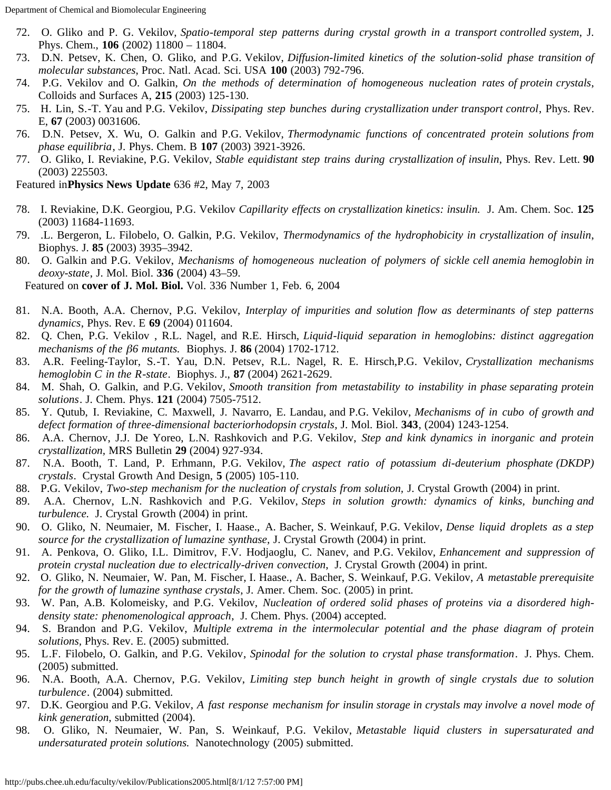- 72. O. Gliko and P. G. Vekilov, *Spatio-temporal step patterns during crystal growth in a transport controlled system*, J. Phys. Chem., **106** (2002) 11800 – 11804.
- 73. D.N. Petsev, K. Chen, O. Gliko, and P.G. Vekilov, *Diffusion-limited kinetics of the solution-solid phase transition of molecular substances*, Proc. Natl. Acad. Sci. USA **100** (2003) 792-796.
- 74. P.G. Vekilov and O. Galkin, *On the methods of determination of homogeneous nucleation rates of protein crystals*, Colloids and Surfaces A, **215** (2003) 125-130.
- 75. H. Lin, S.-T. Yau and P.G. Vekilov, *Dissipating step bunches during crystallization under transport control*, Phys. Rev. E, **67** (2003) 0031606.
- 76. D.N. Petsev, X. Wu, O. Galkin and P.G. Vekilov, *Thermodynamic functions of concentrated protein solutions from phase equilibria*, J. Phys. Chem. B **107** (2003) 3921-3926.
- 77. O. Gliko, I. Reviakine, P.G. Vekilov, *Stable equidistant step trains during crystallization of insulin*, Phys. Rev. Lett. **90** (2003) 225503.

Featured in**Physics News Update** 636 #2, May 7, 2003

- 78. I. Reviakine, D.K. Georgiou, P.G. Vekilov *Capillarity effects on crystallization kinetics: insulin.* J. Am. Chem. Soc. **125** (2003) 11684-11693.
- 79. .L. Bergeron, L. Filobelo, O. Galkin, P.G. Vekilov, *Thermodynamics of the hydrophobicity in crystallization of insulin*, Biophys. J. **85** (2003) 3935–3942.
- 80. O. Galkin and P.G. Vekilov, *Mechanisms of homogeneous nucleation of polymers of sickle cell anemia hemoglobin in deoxy-state*, J. Mol. Biol. **336** (2004) 43–59.

Featured on **cover of J. Mol. Biol.** Vol. 336 Number 1, Feb. 6, 2004

- 81. N.A. Booth, A.A. Chernov, P.G. Vekilov, *Interplay of impurities and solution flow as determinants of step patterns dynamics*, Phys. Rev. E **69** (2004) 011604.
- 82. Q. Chen, P.G. Vekilov , R.L. Nagel, and R.E. Hirsch, *Liquid-liquid separation in hemoglobins: distinct aggregation mechanisms of the* b*6 mutants.* Biophys. J. **86** (2004) 1702-1712.
- 83. A.R. Feeling-Taylor, S.-T. Yau, D.N. Petsev, R.L. Nagel, R. E. Hirsch,P.G. Vekilov, *Crystallization mechanisms hemoglobin C in the R-state*. Biophys. J., **87** (2004) 2621-2629.
- 84. M. Shah, O. Galkin, and P.G. Vekilov, *Smooth transition from metastability to instability in phase separating protein solutions*. J. Chem. Phys. **121** (2004) 7505-7512.
- 85. Y. Qutub, I. Reviakine, C. Maxwell, J. Navarro, E. Landau, and P.G. Vekilov, *Mechanisms of in cubo of growth and defect formation of three-dimensional bacteriorhodopsin crystals*, J. Mol. Biol. **343**, (2004) 1243-1254.
- 86. A.A. Chernov, J.J. De Yoreo, L.N. Rashkovich and P.G. Vekilov, *Step and kink dynamics in inorganic and protein crystallization,* MRS Bulletin **29** (2004) 927-934.
- 87. N.A. Booth, T. Land, P. Erhmann, P.G. Vekilov, *The aspect ratio of potassium di-deuterium phosphate (DKDP) crystals*. Crystal Growth And Design, **5** (2005) 105-110.
- 88. P.G. Vekilov, *Two-step mechanism for the nucleation of crystals from solution,* J. Crystal Growth (2004) in print.
- 89. A.A. Chernov, L.N. Rashkovich and P.G. Vekilov, *Steps in solution growth: dynamics of kinks, bunching and turbulence.* J. Crystal Growth (2004) in print.
- 90. O. Gliko, N. Neumaier, M. Fischer, I. Haase., A. Bacher, S. Weinkauf, P.G. Vekilov, *Dense liquid droplets as a step source for the crystallization of lumazine synthase,* J. Crystal Growth (2004) in print.
- 91. A. Penkova, O. Gliko, I.L. Dimitrov, F.V. Hodjaoglu, C. Nanev, and P.G. Vekilov, *Enhancement and suppression of protein crystal nucleation due to electrically-driven convection*, J. Crystal Growth (2004) in print.
- 92. O. Gliko, N. Neumaier, W. Pan, M. Fischer, I. Haase., A. Bacher, S. Weinkauf, P.G. Vekilov, *A metastable prerequisite for the growth of lumazine synthase crystals*, J. Amer. Chem. Soc. (2005) in print.
- 93. W. Pan, A.B. Kolomeisky, and P.G. Vekilov, *Nucleation of ordered solid phases of proteins via a disordered highdensity state: phenomenological approach*, J. Chem. Phys. (2004) accepted.
- 94. S. Brandon and P.G. Vekilov, *Multiple extrema in the intermolecular potential and the phase diagram of protein solutions,* Phys. Rev. E. (2005) submitted.
- 95. L.F. Filobelo, O. Galkin, and P.G. Vekilov, *Spinodal for the solution to crystal phase transformation*. J. Phys. Chem. (2005) submitted.
- 96. N.A. Booth, A.A. Chernov, P.G. Vekilov, *Limiting step bunch height in growth of single crystals due to solution turbulence*. (2004) submitted.
- 97. D.K. Georgiou and P.G. Vekilov, *A fast response mechanism for insulin storage in crystals may involve a novel mode of kink generation*, submitted (2004).
- 98. O. Gliko, N. Neumaier, W. Pan, S. Weinkauf, P.G. Vekilov, *Metastable liquid clusters in supersaturated and undersaturated protein solutions.* Nanotechnology (2005) submitted.